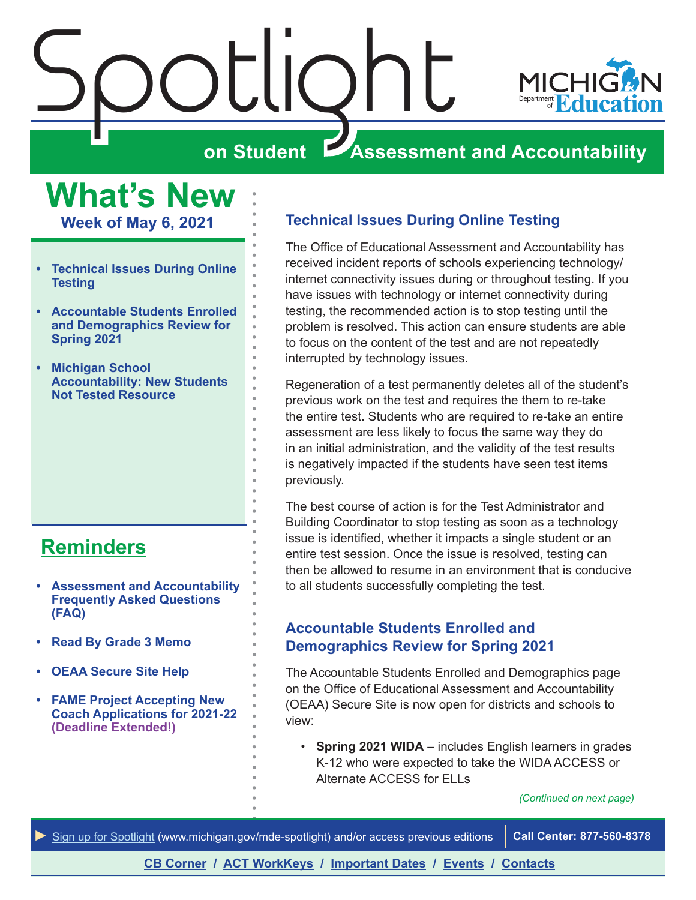<span id="page-0-0"></span>

## **Assessment and Accountability**

**What's New Week of May 6, 2021**

- **• Technical Issues During Online Testing**
- **• Accountable Students Enrolled and Demographics Review for Spring 2021**
- **• [Michigan School](#page-2-0)  [Accountability: New Students](#page-2-0)  [Not Tested Resource](#page-2-0)**

## **[Reminders](#page-3-0)**

- **• [Assessment and Accountability](#page-3-1)  [Frequently Asked Questions](#page-3-1)  [\(FAQ\)](#page-3-1)**
- **• [Read By Grade 3 Memo](#page-3-1)**
- **• [OEAA Secure Site Help](#page-3-1)**
- **• [FAME Project Accepting New](#page-3-1)  [Coach Applications for 2021-22](#page-3-1) (Deadline Extended!)**

#### **Technical Issues During Online Testing**

The Office of Educational Assessment and Accountability has received incident reports of schools experiencing technology/ internet connectivity issues during or throughout testing. If you have issues with technology or internet connectivity during testing, the recommended action is to stop testing until the problem is resolved. This action can ensure students are able to focus on the content of the test and are not repeatedly interrupted by technology issues.

Regeneration of a test permanently deletes all of the student's previous work on the test and requires the them to re-take the entire test. Students who are required to re-take an entire assessment are less likely to focus the same way they do in an initial administration, and the validity of the test results is negatively impacted if the students have seen test items previously.

The best course of action is for the Test Administrator and Building Coordinator to stop testing as soon as a technology issue is identified, whether it impacts a single student or an entire test session. Once the issue is resolved, testing can then be allowed to resume in an environment that is conducive to all students successfully completing the test.

#### **Accountable Students Enrolled and Demographics Review for Spring 2021**

The Accountable Students Enrolled and Demographics page on the Office of Educational Assessment and Accountability (OEAA) Secure Site is now open for districts and schools to view:

• **Spring 2021 WIDA** – includes English learners in grades K-12 who were expected to take the WIDA ACCESS or Alternate ACCESS for ELLs

*(Continued on next page)*

*►* [Sign up for Spotlight](https://public.govdelivery.com/accounts/MIMDE/subscriber/new) [\(www.michigan.gov/mde](www.michigan.gov/mde-spotlight)-spotlight) and/or access previous editions **Call Center: 877-560-8378**

**[CB Corner](#page-4-0) / [ACT WorkKeys](#page-6-0) / [Important Dates](#page-7-0) / [Events](#page-8-0) / [Contacts](#page-9-0)**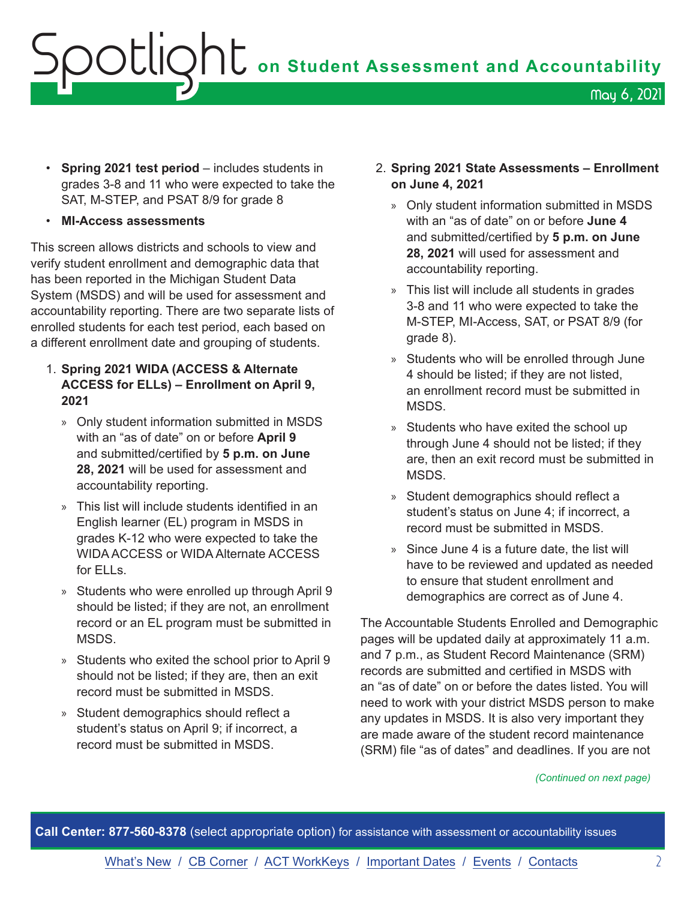# **OCLIQNU** on Student Assessment and Accountability May 6, 2021

- **Spring 2021 test period** includes students in grades 3-8 and 11 who were expected to take the SAT, M-STEP, and PSAT 8/9 for grade 8
- **MI-Access assessments**

This screen allows districts and schools to view and verify student enrollment and demographic data that has been reported in the Michigan Student Data System (MSDS) and will be used for assessment and accountability reporting. There are two separate lists of enrolled students for each test period, each based on a different enrollment date and grouping of students.

- 1. **Spring 2021 WIDA (ACCESS & Alternate ACCESS for ELLs) – Enrollment on April 9, 2021**
	- » Only student information submitted in MSDS with an "as of date" on or before **April 9** and submitted/certified by **5 p.m. on June 28, 2021** will be used for assessment and accountability reporting.
	- » This list will include students identified in an English learner (EL) program in MSDS in grades K-12 who were expected to take the WIDA ACCESS or WIDA Alternate ACCESS for ELLs.
	- » Students who were enrolled up through April 9 should be listed; if they are not, an enrollment record or an EL program must be submitted in MSDS.
	- » Students who exited the school prior to April 9 should not be listed; if they are, then an exit record must be submitted in MSDS.
	- » Student demographics should reflect a student's status on April 9; if incorrect, a record must be submitted in MSDS.
- 2. **Spring 2021 State Assessments Enrollment on June 4, 2021** 
	- » Only student information submitted in MSDS with an "as of date" on or before **June 4**  and submitted/certified by **5 p.m. on June 28, 2021** will used for assessment and accountability reporting.
	- » This list will include all students in grades 3-8 and 11 who were expected to take the M-STEP, MI-Access, SAT, or PSAT 8/9 (for grade 8).
	- » Students who will be enrolled through June 4 should be listed; if they are not listed, an enrollment record must be submitted in MSDS.
	- » Students who have exited the school up through June 4 should not be listed; if they are, then an exit record must be submitted in MSDS.
	- » Student demographics should reflect a student's status on June 4; if incorrect, a record must be submitted in MSDS.
	- » Since June 4 is a future date, the list will have to be reviewed and updated as needed to ensure that student enrollment and demographics are correct as of June 4.

The Accountable Students Enrolled and Demographic pages will be updated daily at approximately 11 a.m. and 7 p.m., as Student Record Maintenance (SRM) records are submitted and certified in MSDS with an "as of date" on or before the dates listed. You will need to work with your district MSDS person to make any updates in MSDS. It is also very important they are made aware of the student record maintenance (SRM) file "as of dates" and deadlines. If you are not

#### *(Continued on next page)*

**Call Center: 877-560-8378** (select appropriate option) for assistance with assessment or accountability issues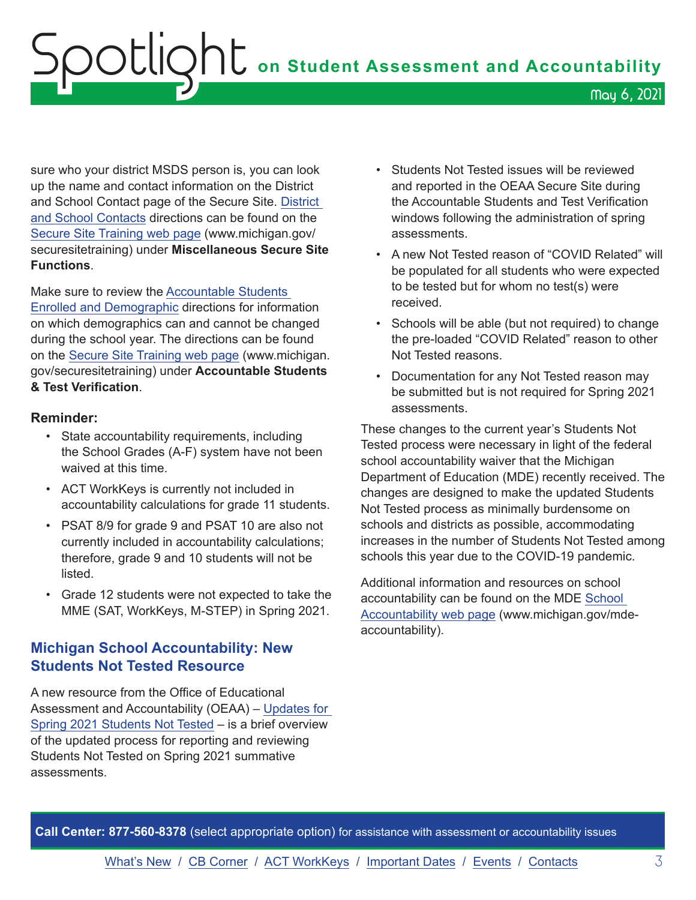# <span id="page-2-0"></span>Spotlight **on Student Assessment and Accountability** May 6, 2021

sure who your district MSDS person is, you can look up the name and contact information on the District and School Contact page of the Secure Site. [District](https://www.michigan.gov/documents/mde/District_and_School_Contacts_Directions_jl_538104_7.pdf)  [and School Contacts](https://www.michigan.gov/documents/mde/District_and_School_Contacts_Directions_jl_538104_7.pdf) directions can be found on the [Secure Site Training web page](http://www.michigan.gov/securesitetraining) (www.michigan.gov/ securesitetraining) under **Miscellaneous Secure Site Functions**.

Make sure to review the [Accountable Students](https://www.michigan.gov/documents/mde/Accountable_Students_Enrolled_and_Demographics_621314_7.pdf)  [Enrolled and Demographic](https://www.michigan.gov/documents/mde/Accountable_Students_Enrolled_and_Demographics_621314_7.pdf) directions for information on which demographics can and cannot be changed during the school year. The directions can be found on the [Secure Site Training web page](http://www.michigan.gov/securesitetraining) (www.michigan. gov/securesitetraining) under **Accountable Students & Test Verification**.

#### **Reminder:**

- State accountability requirements, including the School Grades (A-F) system have not been waived at this time.
- ACT WorkKeys is currently not included in accountability calculations for grade 11 students.
- PSAT 8/9 for grade 9 and PSAT 10 are also not currently included in accountability calculations; therefore, grade 9 and 10 students will not be listed.
- Grade 12 students were not expected to take the MME (SAT, WorkKeys, M-STEP) in Spring 2021.

#### **Michigan School Accountability: New Students Not Tested Resource**

A new resource from the Office of Educational Assessment and Accountability (OEAA) – [Updates for](https://www.michigan.gov/documents/mde/Updates_for_Spring_2021_Students_Not_Tested_724270_7.pdf)  [Spring 2021 Students Not Tested](https://www.michigan.gov/documents/mde/Updates_for_Spring_2021_Students_Not_Tested_724270_7.pdf) – is a brief overview of the updated process for reporting and reviewing Students Not Tested on Spring 2021 summative assessments.

- Students Not Tested issues will be reviewed and reported in the OEAA Secure Site during the Accountable Students and Test Verification windows following the administration of spring assessments.
- A new Not Tested reason of "COVID Related" will be populated for all students who were expected to be tested but for whom no test(s) were received.
- Schools will be able (but not required) to change the pre-loaded "COVID Related" reason to other Not Tested reasons.
- Documentation for any Not Tested reason may be submitted but is not required for Spring 2021 assessments.

These changes to the current year's Students Not Tested process were necessary in light of the federal school accountability waiver that the Michigan Department of Education (MDE) recently received. The changes are designed to make the updated Students Not Tested process as minimally burdensome on schools and districts as possible, accommodating increases in the number of Students Not Tested among schools this year due to the COVID-19 pandemic.

Additional information and resources on school accountability can be found on the MDE [School](http://www.michigan.gov/mde-accountability)  [Accountability web page](http://www.michigan.gov/mde-accountability) (www.michigan.gov/mdeaccountability).

**Call Center: 877-560-8378** (select appropriate option) for assistance with assessment or accountability issues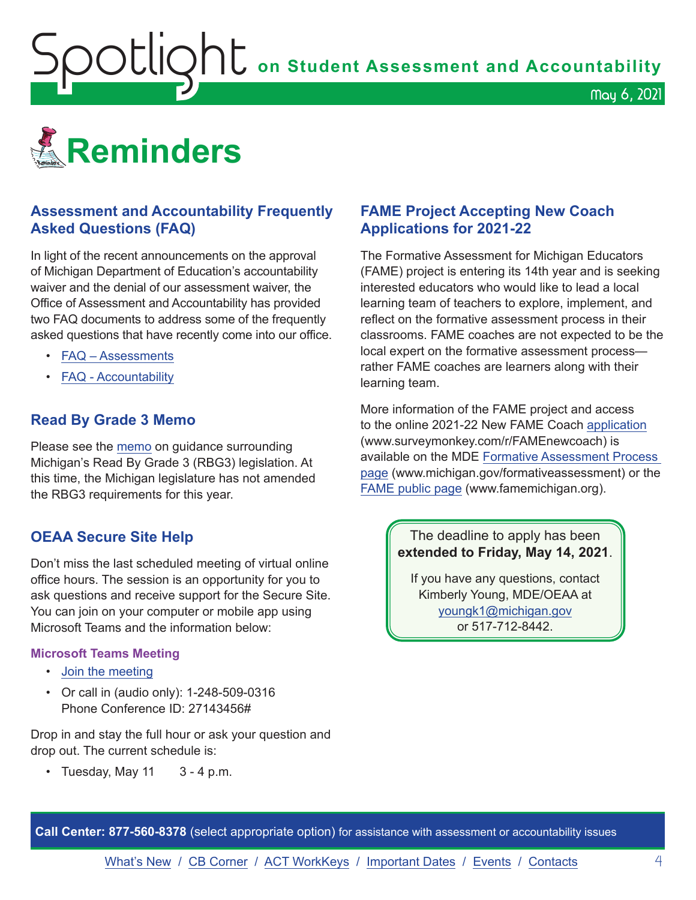<span id="page-3-1"></span>**OOUQNU** on Student Assessment and Accountability

<span id="page-3-0"></span>![](_page_3_Picture_1.jpeg)

#### **Assessment and Accountability Frequently Asked Questions (FAQ)**

In light of the recent announcements on the approval of Michigan Department of Education's accountability waiver and the denial of our assessment waiver, the Office of Assessment and Accountability has provided two FAQ documents to address some of the frequently asked questions that have recently come into our office.

- [FAQ Assessments](https://www.michigan.gov/documents/mde/Spring_2021_Summative_Assessments_FAQ_721789_7.pdf)
- [FAQ Accountability](https://www.michigan.gov/documents/mde/Michigan_School_Accountability_Planning_and_Response_to_COVID-19_701197_7.pdf)

#### **Read By Grade 3 Memo**

Please see the [memo](https://www.michigan.gov/documents/mde/RBG3_Communicating_Parents_722309_7.pdf) on guidance surrounding Michigan's Read By Grade 3 (RBG3) legislation. At this time, the Michigan legislature has not amended the RBG3 requirements for this year.

#### **OEAA Secure Site Help**

Don't miss the last scheduled meeting of virtual online office hours. The session is an opportunity for you to ask questions and receive support for the Secure Site. You can join on your computer or mobile app using Microsoft Teams and the information below:

#### **Microsoft Teams Meeting**

- [Join the meeting](https://teams.microsoft.com/l/meetup-join/19%3ameeting_MzAyYzkwNTctMGU0ZC00Y2ZmLWFjNTEtZTRhYTQzN2UyMGM5%40thread.v2/0?context=%7b%22Tid%22%3a%22d5fb7087-3777-42ad-966a-892ef47225d1%22%2c%22Oid%22%3a%226100384c-b357-44a8-8e52-653af03855b7%22%7d)
- Or call in (audio only): 1-248-509-0316 Phone Conference ID: 27143456#

Drop in and stay the full hour or ask your question and drop out. The current schedule is:

• Tuesday, May  $11 \quad 3 - 4$  p.m.

#### **FAME Project Accepting New Coach Applications for 2021-22**

The Formative Assessment for Michigan Educators (FAME) project is entering its 14th year and is seeking interested educators who would like to lead a local learning team of teachers to explore, implement, and reflect on the formative assessment process in their classrooms. FAME coaches are not expected to be the local expert on the formative assessment process rather FAME coaches are learners along with their learning team.

May 6, 2021

More information of the FAME project and access to the online 2021-22 New FAME Coach [application](https://www.surveymonkey.com/r/FAMEnewcoach) (www.surveymonkey.com/r/FAMEnewcoach) is available on the MDE [Formative Assessment Process](http://www.michigan.gov/formativeassessment)  [page](http://www.michigan.gov/formativeassessment) (www.michigan.gov/formativeassessment) or the [FAME public page](http://www.FAMEMichigan.org) (www.famemichigan.org).

#### The deadline to apply has been **extended to Friday, May 14, 2021**.

If you have any questions, contact Kimberly Young, MDE/OEAA at [youngk1@michigan.gov](mailto:youngk1%40michigan.gov?subject=) or 517-712-8442.

**Call Center: 877-560-8378** (select appropriate option) for assistance with assessment or accountability issues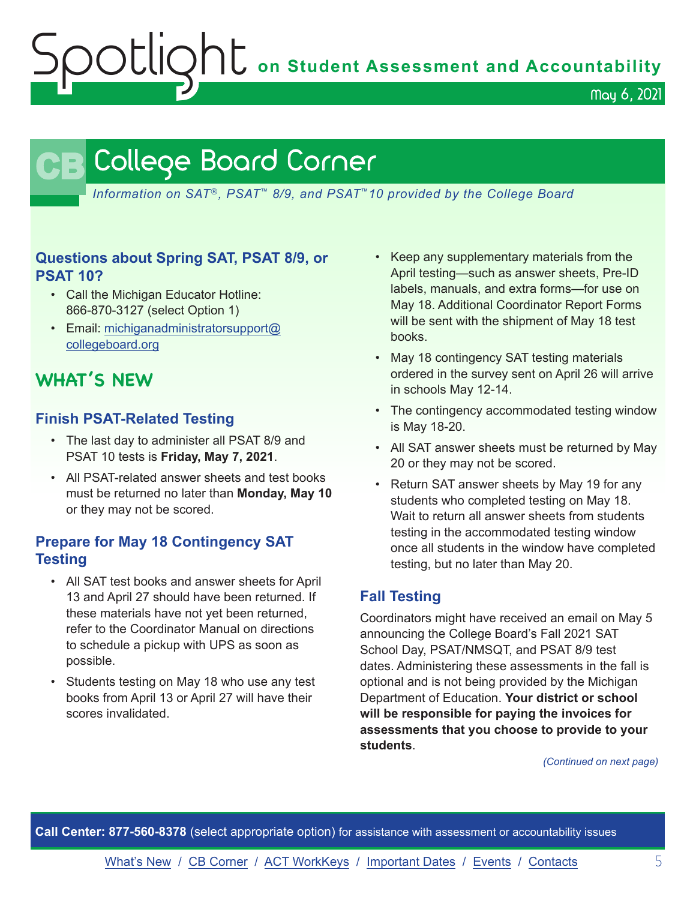Spotlight **on Student Assessment and Accountability**

May 6, 2021

## **CB** College Board Corner

<span id="page-4-0"></span>*Information on SAT*®*, PSAT*™ *8/9, and PSAT*™*10 provided by the College Board*

#### **Questions about Spring SAT, PSAT 8/9, or PSAT 10?**

- Call the Michigan Educator Hotline: 866-870-3127 (select Option 1)
- Email: [michiganadministratorsupport@](mailto:michiganadministratorsupport%40collegeboard.org?subject=) [collegeboard.org](mailto:michiganadministratorsupport%40collegeboard.org?subject=)

## **WHAT'S NEW**

#### **Finish PSAT-Related Testing**

- The last day to administer all PSAT 8/9 and PSAT 10 tests is **Friday, May 7, 2021**.
- All PSAT-related answer sheets and test books must be returned no later than **Monday, May 10** or they may not be scored.

#### **Prepare for May 18 Contingency SAT Testing**

- All SAT test books and answer sheets for April 13 and April 27 should have been returned. If these materials have not yet been returned, refer to the Coordinator Manual on directions to schedule a pickup with UPS as soon as possible.
- Students testing on May 18 who use any test books from April 13 or April 27 will have their scores invalidated.
- Keep any supplementary materials from the April testing—such as answer sheets, Pre-ID labels, manuals, and extra forms—for use on May 18. Additional Coordinator Report Forms will be sent with the shipment of May 18 test books.
- May 18 contingency SAT testing materials ordered in the survey sent on April 26 will arrive in schools May 12-14.
- The contingency accommodated testing window is May 18-20.
- All SAT answer sheets must be returned by May 20 or they may not be scored.
- Return SAT answer sheets by May 19 for any students who completed testing on May 18. Wait to return all answer sheets from students testing in the accommodated testing window once all students in the window have completed testing, but no later than May 20.

#### **Fall Testing**

Coordinators might have received an email on May 5 announcing the College Board's Fall 2021 SAT School Day, PSAT/NMSQT, and PSAT 8/9 test dates. Administering these assessments in the fall is optional and is not being provided by the Michigan Department of Education. **Your district or school will be responsible for paying the invoices for assessments that you choose to provide to your students**.

*(Continued on next page)*

**Call Center: 877-560-8378** (select appropriate option) for assistance with assessment or accountability issues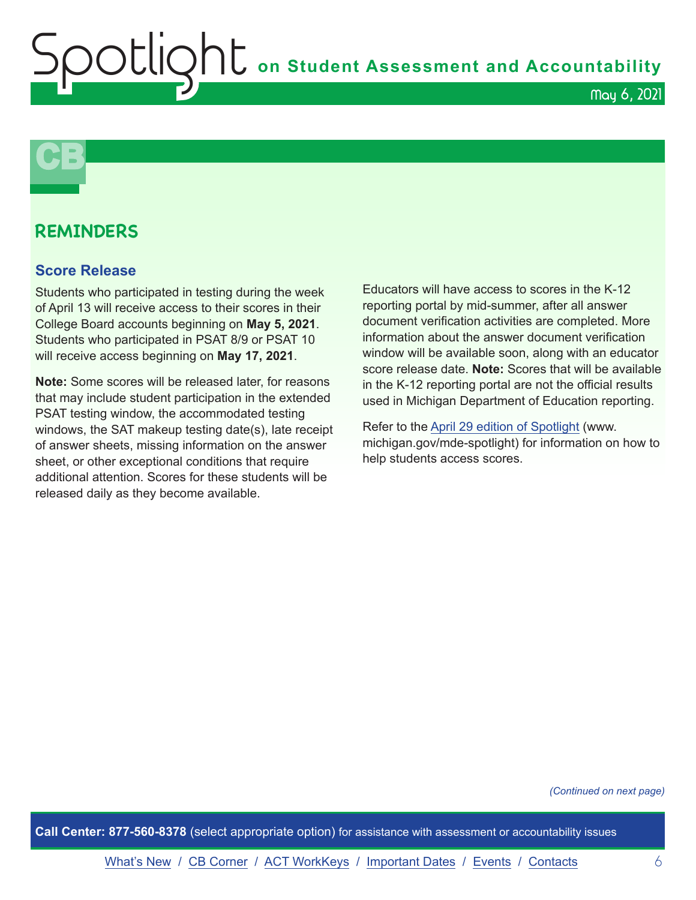OUIQhL on Student Assessment and Accountability

![](_page_5_Picture_1.jpeg)

![](_page_5_Picture_2.jpeg)

### **REMINDERS**

#### **Score Release**

Students who participated in testing during the week of April 13 will receive access to their scores in their College Board accounts beginning on **May 5, 2021**. Students who participated in PSAT 8/9 or PSAT 10 will receive access beginning on **May 17, 2021**.

**Note:** Some scores will be released later, for reasons that may include student participation in the extended PSAT testing window, the accommodated testing windows, the SAT makeup testing date(s), late receipt of answer sheets, missing information on the answer sheet, or other exceptional conditions that require additional attention. Scores for these students will be released daily as they become available.

Educators will have access to scores in the K-12 reporting portal by mid-summer, after all answer document verification activities are completed. More information about the answer document verification window will be available soon, along with an educator score release date. **Note:** Scores that will be available in the K-12 reporting portal are not the official results used in Michigan Department of Education reporting.

Refer to the [April 29 edition of Spotlight](https://www.michigan.gov/documents/mde/Spotlight_4-29-21_723763_7.pdf) (www. michigan.gov/mde-spotlight) for information on how to help students access scores.

*(Continued on next page)*

**Call Center: 877-560-8378** (select appropriate option) for assistance with assessment or accountability issues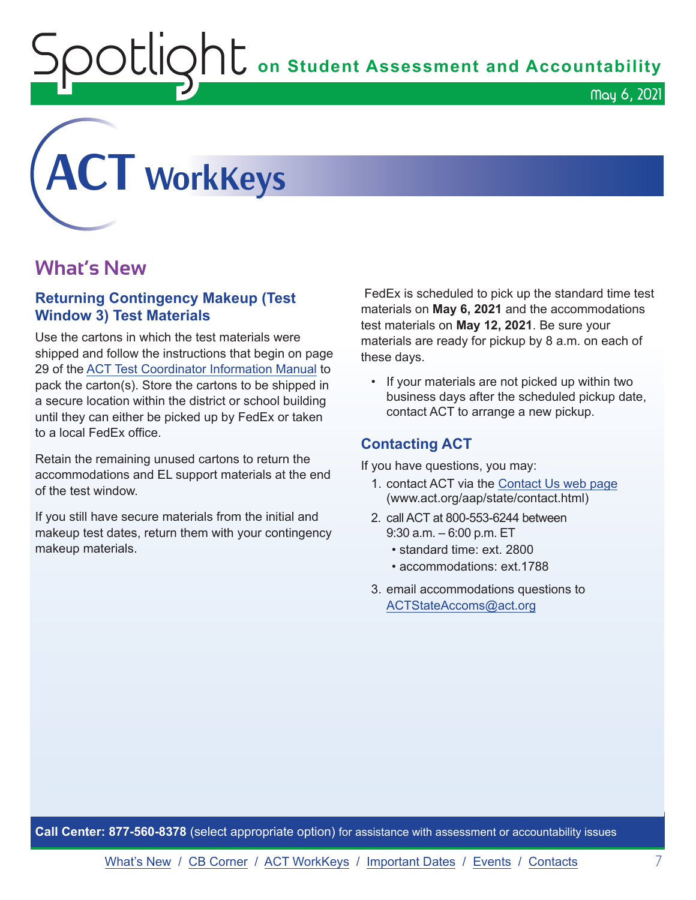$\mathop{\rm O}\nolimits$   $\mathop{\rm Cl}\nolimits$   $\mathop{\rm O}\nolimits$   $\mathop{\rm Cl}\nolimits$  on Student Assessment and Accountability

<span id="page-6-0"></span>![](_page_6_Picture_1.jpeg)

### **What's New**

#### **Returning Contingency Makeup (Test Window 3) Test Materials**

Use the cartons in which the test materials were shipped and follow the instructions that begin on page 29 of the [ACT Test Coordinator Information Manual](https://www.act.org/content/dam/act/secured/documents/pdfs/state-district-test-coordinator-paper-test.pdf) to pack the carton(s). Store the cartons to be shipped in a secure location within the district or school building until they can either be picked up by FedEx or taken to a local FedEx office.

Retain the remaining unused cartons to return the accommodations and EL support materials at the end of the test window.

If you still have secure materials from the initial and makeup test dates, return them with your contingency makeup materials.

 FedEx is scheduled to pick up the standard time test materials on **May 6, 2021** and the accommodations test materials on **May 12, 2021**. Be sure your materials are ready for pickup by 8 a.m. on each of these days.

May 6, 2021

• If your materials are not picked up within two business days after the scheduled pickup date, contact ACT to arrange a new pickup.

#### **Contacting ACT**

If you have questions, you may:

- 1. contact ACT via the [Contact Us web page](http://www.act.org/aap/state/contact.html) ([www.act.org/aap/state/contact.html](https://www.act.org/aap/state/contact.html))
- 2. call ACT at 800-553-6244 between 9:30 a.m. – 6:00 p.m. ET
	- standard time: ext. 2800
	- accommodations: ext.1788
- 3. email accommodations questions to [ACTStateAccoms@act.org](mailto:ACTStateAccoms%40act.org?subject=)

**Call Center: 877-560-8378** (select appropriate option) for assistance with assessment or accountability issues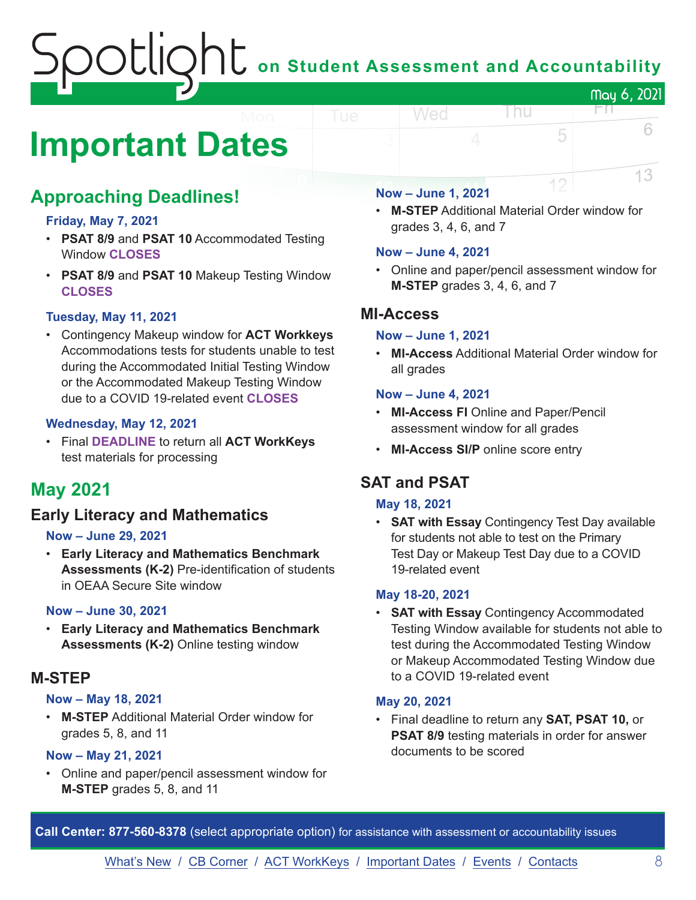# $\mathop{\rm O}\nolimits$   $\mathop{\rm Cl}\nolimits$   $\mathop{\rm O}\nolimits$   $\mathop{\rm Cl}\nolimits$  on Student Assessment and Accountability May 6, 2021

## <span id="page-7-0"></span>**Important Dates**

## **Approaching Deadlines!**

#### **Friday, May 7, 2021**

- **PSAT 8/9** and **PSAT 10** Accommodated Testing Window **CLOSES**
- **PSAT 8/9** and **PSAT 10** Makeup Testing Window **CLOSES**

#### **Tuesday, May 11, 2021**

• Contingency Makeup window for **ACT Workkeys** Accommodations tests for students unable to test during the Accommodated Initial Testing Window or the Accommodated Makeup Testing Window due to a COVID 19-related event **CLOSES**

#### **Wednesday, May 12, 2021**

• Final **DEADLINE** to return all **ACT WorkKeys** test materials for processing

## **May 2021**

#### **Early Literacy and Mathematics**

#### **Now – June 29, 2021**

• **Early Literacy and Mathematics Benchmark Assessments (K-2)** Pre-identification of students in OEAA Secure Site window

#### **Now – June 30, 2021**

• **Early Literacy and Mathematics Benchmark Assessments (K-2)** Online testing window

#### **M-STEP**

#### **Now – May 18, 2021**

• **M-STEP** Additional Material Order window for grades 5, 8, and 11

#### **Now – May 21, 2021**

• Online and paper/pencil assessment window for **M-STEP** grades 5, 8, and 11

#### **Now – June 1, 2021**

Wed

• **M-STEP** Additional Material Order window for grades 3, 4, 6, and 7

l nu

FП.

5

12

6

13

#### **Now – June 4, 2021**

• Online and paper/pencil assessment window for **M-STEP** grades 3, 4, 6, and 7

#### **MI-Access**

#### **Now – June 1, 2021**

• **MI-Access** Additional Material Order window for all grades

#### **Now – June 4, 2021**

- **MI-Access FI** Online and Paper/Pencil assessment window for all grades
- **MI-Access SI/P** online score entry

### **SAT and PSAT**

#### **May 18, 2021**

• **SAT with Essay** Contingency Test Day available for students not able to test on the Primary Test Day or Makeup Test Day due to a COVID 19-related event

#### **May 18-20, 2021**

• **SAT with Essay** Contingency Accommodated Testing Window available for students not able to test during the Accommodated Testing Window or Makeup Accommodated Testing Window due to a COVID 19-related event

#### **May 20, 2021**

• Final deadline to return any **SAT, PSAT 10,** or **PSAT 8/9** testing materials in order for answer documents to be scored

**Call Center: 877-560-8378** (select appropriate option) for assistance with assessment or accountability issues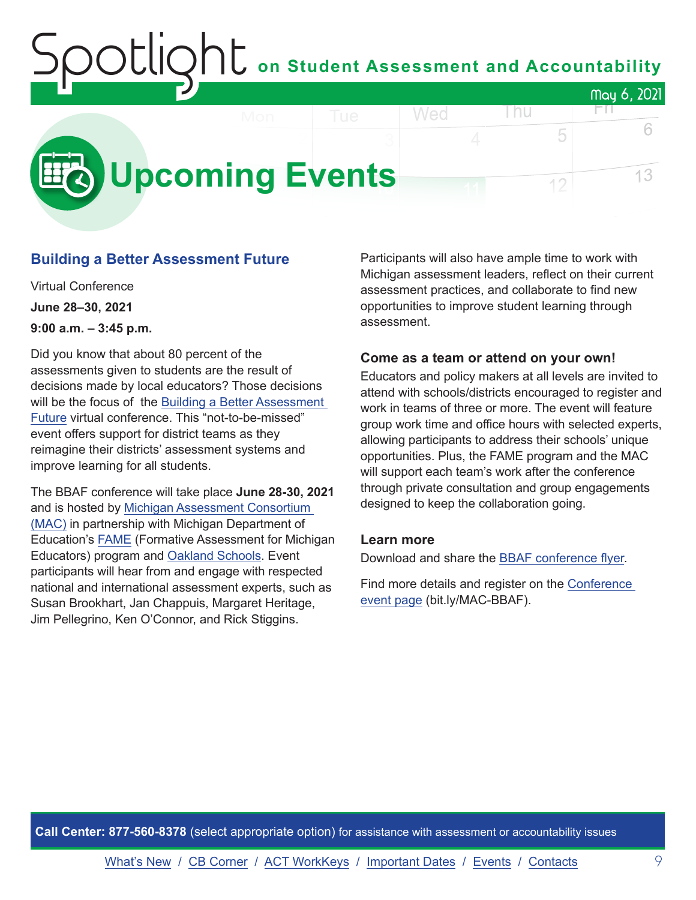## on Student Assessment and Accountability May 6, 2021 FП.

<span id="page-8-0"></span>![](_page_8_Picture_1.jpeg)

#### **Building a Better Assessment Future**

Virtual Conference **June 28–30, 2021 9:00 a.m. – 3:45 p.m.**

Did you know that about 80 percent of the assessments given to students are the result of decisions made by local educators? Those decisions will be the focus of the [Building a Better Assessment](https://www.michiganassessmentconsortium.org/event/building-a-better-assessment-future/)  [Future](https://www.michiganassessmentconsortium.org/event/building-a-better-assessment-future/) virtual conference. This "not-to-be-missed" event offers support for district teams as they reimagine their districts' assessment systems and improve learning for all students.

The BBAF conference will take place **June 28-30, 2021** and is hosted by [Michigan Assessment Consortium](http://www.michiganassessmentconsortium.org/)  [\(MAC\)](http://www.michiganassessmentconsortium.org/) in partnership with Michigan Department of Education's [FAME](http://www.famemichigan.org/) (Formative Assessment for Michigan Educators) program and [Oakland Schools.](https://www.oakland.k12.mi.us/) Event participants will hear from and engage with respected national and international assessment experts, such as Susan Brookhart, Jan Chappuis, Margaret Heritage, Jim Pellegrino, Ken O'Connor, and Rick Stiggins.

Participants will also have ample time to work with Michigan assessment leaders, reflect on their current assessment practices, and collaborate to find new opportunities to improve student learning through assessment.

5

12

#### **Come as a team or attend on your own!**

Educators and policy makers at all levels are invited to attend with schools/districts encouraged to register and work in teams of three or more. The event will feature group work time and office hours with selected experts, allowing participants to address their schools' unique opportunities. Plus, the FAME program and the MAC will support each team's work after the conference through private consultation and group engagements designed to keep the collaboration going.

#### **Learn more**

Download and share the [BBAF conference flyer.](https://www.michiganassessmentconsortium.org/wp-content/uploads/BBAF-Flyer-1.pdf)

Find more details and register on the [Conference](https://www.michiganassessmentconsortium.org/event/building-a-better-assessment-future/)  [event page](https://www.michiganassessmentconsortium.org/event/building-a-better-assessment-future/) (bit.ly/MAC-BBAF).

**Call Center: 877-560-8378** (select appropriate option) for assistance with assessment or accountability issues

[What's New](#page-0-0) / [CB Corner](#page-4-0) / [ACT WorkKeys](#page-6-0) / [Important Dates](#page-7-0) / [Events](#page-8-0) / [Contacts](#page-9-0) 9

6

13